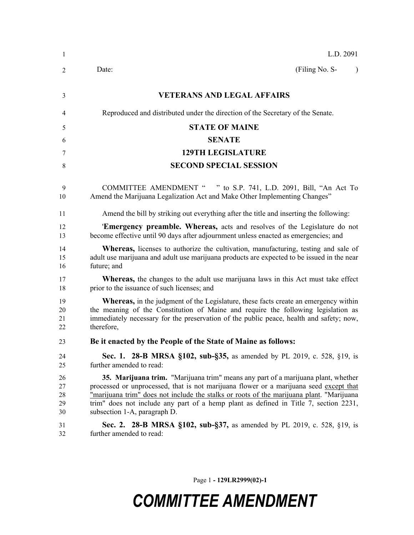| 1                          | L.D. 2091                                                                                                                                                                                                                                                                                                                                                                                       |
|----------------------------|-------------------------------------------------------------------------------------------------------------------------------------------------------------------------------------------------------------------------------------------------------------------------------------------------------------------------------------------------------------------------------------------------|
| 2                          | (Filing No. S-<br>Date:<br>$\lambda$                                                                                                                                                                                                                                                                                                                                                            |
| 3                          | <b>VETERANS AND LEGAL AFFAIRS</b>                                                                                                                                                                                                                                                                                                                                                               |
| 4                          | Reproduced and distributed under the direction of the Secretary of the Senate.                                                                                                                                                                                                                                                                                                                  |
| 5                          | <b>STATE OF MAINE</b>                                                                                                                                                                                                                                                                                                                                                                           |
| 6                          | <b>SENATE</b>                                                                                                                                                                                                                                                                                                                                                                                   |
| 7                          | <b>129TH LEGISLATURE</b>                                                                                                                                                                                                                                                                                                                                                                        |
| 8                          | <b>SECOND SPECIAL SESSION</b>                                                                                                                                                                                                                                                                                                                                                                   |
| 9<br>10                    | COMMITTEE AMENDMENT " " to S.P. 741, L.D. 2091, Bill, "An Act To<br>Amend the Marijuana Legalization Act and Make Other Implementing Changes"                                                                                                                                                                                                                                                   |
| 11                         | Amend the bill by striking out everything after the title and inserting the following:                                                                                                                                                                                                                                                                                                          |
| 12<br>13                   | <b>Emergency preamble. Whereas,</b> acts and resolves of the Legislature do not<br>become effective until 90 days after adjournment unless enacted as emergencies; and                                                                                                                                                                                                                          |
| 14<br>15<br>16             | <b>Whereas,</b> licenses to authorize the cultivation, manufacturing, testing and sale of<br>adult use marijuana and adult use marijuana products are expected to be issued in the near<br>future; and                                                                                                                                                                                          |
| 17<br>18                   | <b>Whereas</b> , the changes to the adult use marijuana laws in this Act must take effect<br>prior to the issuance of such licenses; and                                                                                                                                                                                                                                                        |
| 19<br>20<br>21<br>22       | <b>Whereas,</b> in the judgment of the Legislature, these facts create an emergency within<br>the meaning of the Constitution of Maine and require the following legislation as<br>immediately necessary for the preservation of the public peace, health and safety; now,<br>therefore,                                                                                                        |
| 23                         | Be it enacted by the People of the State of Maine as follows:                                                                                                                                                                                                                                                                                                                                   |
| 24<br>25                   | Sec. 1. 28-B MRSA §102, sub-§35, as amended by PL 2019, c. 528, §19, is<br>further amended to read:                                                                                                                                                                                                                                                                                             |
| 26<br>27<br>28<br>29<br>30 | 35. Marijuana trim. "Marijuana trim" means any part of a marijuana plant, whether<br>processed or unprocessed, that is not marijuana flower or a marijuana seed except that<br>"marijuana trim" does not include the stalks or roots of the marijuana plant. "Marijuana<br>trim" does not include any part of a hemp plant as defined in Title 7, section 2231,<br>subsection 1-A, paragraph D. |
| 31<br>32                   | <b>Sec. 2. 28-B MRSA §102, sub-§37, as amended by PL 2019, c. 528, §19, is</b><br>further amended to read:                                                                                                                                                                                                                                                                                      |

Page 1 **- 129LR2999(02)-1**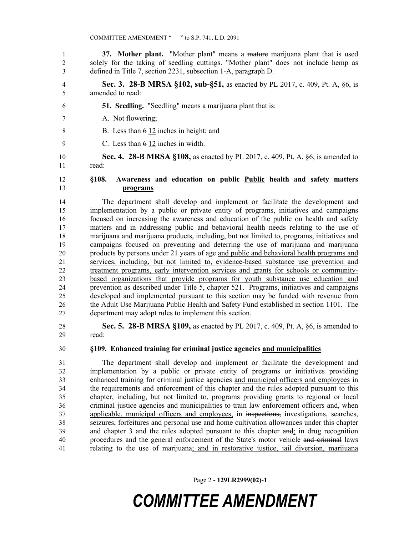**37. Mother plant.** "Mother plant" means a mature marijuana plant that is used solely for the taking of seedling cuttings. "Mother plant" does not include hemp as defined in Title 7, section 2231, subsection 1-A, paragraph D.

- **Sec. 3. 28-B MRSA §102, sub-§51,** as enacted by PL 2017, c. 409, Pt. A, §6, is amended to read:
- **51. Seedling.** "Seedling" means a marijuana plant that is:
- A. Not flowering;
- B. Less than 6 12 inches in height; and
- C. Less than 6 12 inches in width.

 **Sec. 4. 28-B MRSA §108,** as enacted by PL 2017, c. 409, Pt. A, §6, is amended to read:

#### **§108. Awareness and education on public Public health and safety matters programs**

 The department shall develop and implement or facilitate the development and implementation by a public or private entity of programs, initiatives and campaigns focused on increasing the awareness and education of the public on health and safety matters and in addressing public and behavioral health needs relating to the use of marijuana and marijuana products, including, but not limited to, programs, initiatives and campaigns focused on preventing and deterring the use of marijuana and marijuana products by persons under 21 years of age and public and behavioral health programs and services, including, but not limited to, evidence-based substance use prevention and treatment programs, early intervention services and grants for schools or community- based organizations that provide programs for youth substance use education and prevention as described under Title 5, chapter 521. Programs, initiatives and campaigns developed and implemented pursuant to this section may be funded with revenue from the Adult Use Marijuana Public Health and Safety Fund established in section 1101. The department may adopt rules to implement this section.

 **Sec. 5. 28-B MRSA §109,** as enacted by PL 2017, c. 409, Pt. A, §6, is amended to read:

#### **§109. Enhanced training for criminal justice agencies and municipalities**

 The department shall develop and implement or facilitate the development and implementation by a public or private entity of programs or initiatives providing enhanced training for criminal justice agencies and municipal officers and employees in the requirements and enforcement of this chapter and the rules adopted pursuant to this chapter, including, but not limited to, programs providing grants to regional or local criminal justice agencies and municipalities to train law enforcement officers and, when applicable, municipal officers and employees, in inspections, investigations, searches, seizures, forfeitures and personal use and home cultivation allowances under this chapter and chapter 3 and the rules adopted pursuant to this chapter and; in drug recognition procedures and the general enforcement of the State's motor vehicle and criminal laws relating to the use of marijuana; and in restorative justice, jail diversion, marijuana

Page 2 **- 129LR2999(02)-1**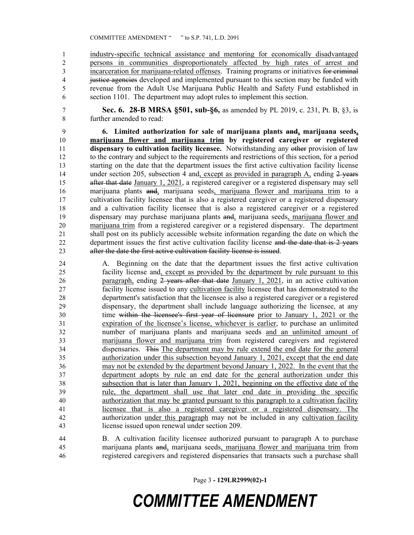industry-specific technical assistance and mentoring for economically disadvantaged persons in communities disproportionately affected by high rates of arrest and 3 incarceration for marijuana-related offenses. Training programs or initiatives for criminal 4 justice agencies developed and implemented pursuant to this section may be funded with revenue from the Adult Use Marijuana Public Health and Safety Fund established in section 1101. The department may adopt rules to implement this section.

 **Sec. 6. 28-B MRSA §501, sub-§6,** as amended by PL 2019, c. 231, Pt. B, §3, is further amended to read:

 **6. Limited authorization for sale of marijuana plants and, marijuana seeds, marijuana flower and marijuana trim by registered caregiver or registered dispensary to cultivation facility licensee.** Notwithstanding any other provision of law to the contrary and subject to the requirements and restrictions of this section, for a period starting on the date that the department issues the first active cultivation facility license 14 under section 205, subsection 4 and, except as provided in paragraph A, ending 2 years 15 after that date January 1, 2021, a registered caregiver or a registered dispensary may sell marijuana plants and, marijuana seeds, marijuana flower and marijuana trim to a cultivation facility licensee that is also a registered caregiver or a registered dispensary and a cultivation facility licensee that is also a registered caregiver or a registered dispensary may purchase marijuana plants and, marijuana seeds, marijuana flower and marijuana trim from a registered caregiver or a registered dispensary. The department shall post on its publicly accessible website information regarding the date on which the 22 department issues the first active cultivation facility license and the date that is 2 years after the date the first active cultivation facility license is issued.

 A. Beginning on the date that the department issues the first active cultivation facility license and, except as provided by the department by rule pursuant to this 26 paragraph, ending 2-years after that date January 1, 2021, in an active cultivation facility license issued to any cultivation facility licensee that has demonstrated to the department's satisfaction that the licensee is also a registered caregiver or a registered dispensary, the department shall include language authorizing the licensee, at any time within the licensee's first year of licensure prior to January 1, 2021 or the expiration of the licensee's license, whichever is earlier, to purchase an unlimited number of marijuana plants and marijuana seeds and an unlimited amount of marijuana flower and marijuana trim from registered caregivers and registered dispensaries. This The department may by rule extend the end date for the general authorization under this subsection beyond January 1, 2021, except that the end date may not be extended by the department beyond January 1, 2022. In the event that the department adopts by rule an end date for the general authorization under this subsection that is later than January 1, 2021, beginning on the effective date of the rule, the department shall use that later end date in providing the specific authorization that may be granted pursuant to this paragraph to a cultivation facility licensee that is also a registered caregiver or a registered dispensary. The authorization under this paragraph may not be included in any cultivation facility license issued upon renewal under section 209.

 B. A cultivation facility licensee authorized pursuant to paragraph A to purchase marijuana plants and, marijuana seeds, marijuana flower and marijuana trim from registered caregivers and registered dispensaries that transacts such a purchase shall

Page 3 **- 129LR2999(02)-1**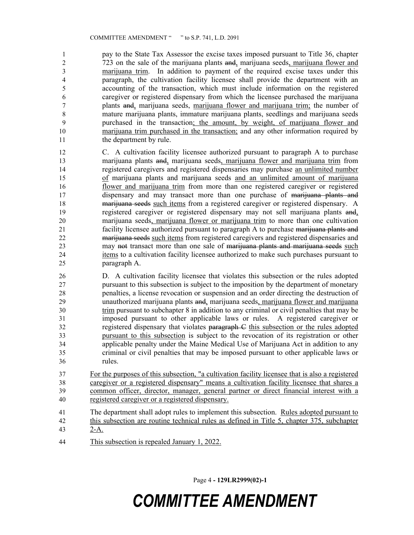pay to the State Tax Assessor the excise taxes imposed pursuant to Title 36, chapter 723 on the sale of the marijuana plants and, marijuana seeds, marijuana flower and marijuana trim. In addition to payment of the required excise taxes under this paragraph, the cultivation facility licensee shall provide the department with an accounting of the transaction, which must include information on the registered caregiver or registered dispensary from which the licensee purchased the marijuana plants and, marijuana seeds, marijuana flower and marijuana trim; the number of mature marijuana plants, immature marijuana plants, seedlings and marijuana seeds purchased in the transaction; the amount, by weight, of marijuana flower and marijuana trim purchased in the transaction; and any other information required by 11 the department by rule.

 C. A cultivation facility licensee authorized pursuant to paragraph A to purchase 13 marijuana plants and, marijuana seeds, marijuana flower and marijuana trim from registered caregivers and registered dispensaries may purchase an unlimited number of marijuana plants and marijuana seeds and an unlimited amount of marijuana flower and marijuana trim from more than one registered caregiver or registered dispensary and may transact more than one purchase of marijuana plants and 18 marijuana seeds such items from a registered caregiver or registered dispensary. A registered caregiver or registered dispensary may not sell marijuana plants and, marijuana seeds, marijuana flower or marijuana trim to more than one cultivation 21 facility licensee authorized pursuant to paragraph A to purchase marijuana plants and marijuana seeds such items from registered caregivers and registered dispensaries and may not transact more than one sale of marijuana plants and marijuana seeds such items to a cultivation facility licensee authorized to make such purchases pursuant to paragraph A.

 D. A cultivation facility licensee that violates this subsection or the rules adopted pursuant to this subsection is subject to the imposition by the department of monetary penalties, a license revocation or suspension and an order directing the destruction of unauthorized marijuana plants and, marijuana seeds, marijuana flower and marijuana trim pursuant to subchapter 8 in addition to any criminal or civil penalties that may be imposed pursuant to other applicable laws or rules. A registered caregiver or registered dispensary that violates paragraph C this subsection or the rules adopted pursuant to this subsection is subject to the revocation of its registration or other applicable penalty under the Maine Medical Use of Marijuana Act in addition to any criminal or civil penalties that may be imposed pursuant to other applicable laws or rules.

 For the purposes of this subsection, "a cultivation facility licensee that is also a registered caregiver or a registered dispensary" means a cultivation facility licensee that shares a common officer, director, manager, general partner or direct financial interest with a registered caregiver or a registered dispensary.

- The department shall adopt rules to implement this subsection. Rules adopted pursuant to
- this subsection are routine technical rules as defined in Title 5, chapter 375, subchapter 2-A.
- This subsection is repealed January 1, 2022.

Page 4 **- 129LR2999(02)-1**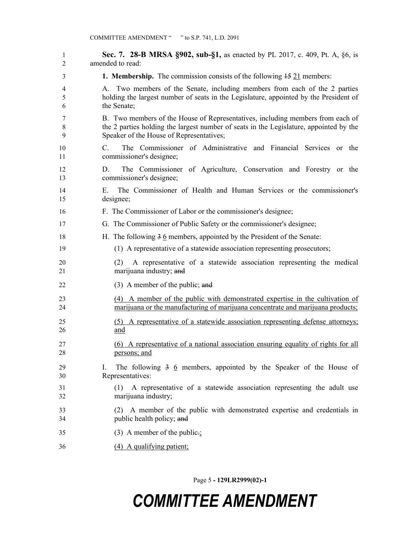**Sec. 7. 28-B MRSA §902, sub-§1,** as enacted by PL 2017, c. 409, Pt. A, §6, is amended to read: **1. Membership.** The commission consists of the following 15 21 members: A. Two members of the Senate, including members from each of the 2 parties holding the largest number of seats in the Legislature, appointed by the President of the Senate; B. Two members of the House of Representatives, including members from each of the 2 parties holding the largest number of seats in the Legislature, appointed by the Speaker of the House of Representatives; C. The Commissioner of Administrative and Financial Services or the commissioner's designee; D. The Commissioner of Agriculture, Conservation and Forestry or the commissioner's designee; E. The Commissioner of Health and Human Services or the commissioner's designee; F. The Commissioner of Labor or the commissioner's designee; G. The Commissioner of Public Safety or the commissioner's designee; 18 H. The following 3 6 members, appointed by the President of the Senate: (1) A representative of a statewide association representing prosecutors; (2) A representative of a statewide association representing the medical marijuana industry; and 22 (3) A member of the public; and (4) A member of the public with demonstrated expertise in the cultivation of marijuana or the manufacturing of marijuana concentrate and marijuana products; (5) A representative of a statewide association representing defense attorneys; and (6) A representative of a national association ensuring equality of rights for all persons; and I. The following 3 6 members, appointed by the Speaker of the House of Representatives: (1) A representative of a statewide association representing the adult use marijuana industry; (2) A member of the public with demonstrated expertise and credentials in public health policy; and 35 (3) A member of the public. (4) A qualifying patient;

Page 5 **- 129LR2999(02)-1**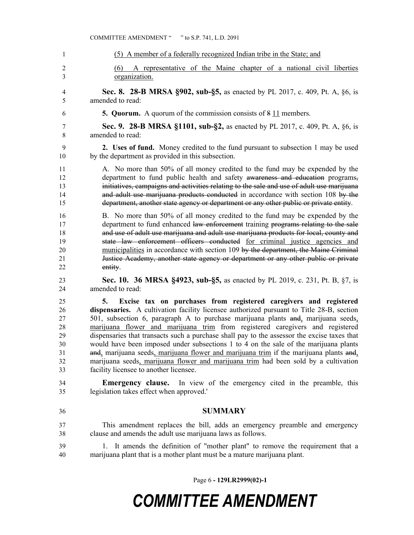|                                                    | <b>COMMITTEE AMENDMENT "</b><br>" to S.P. 741, L.D. 2091                                                                                                                                                                                                                                                                                                                                                                                                                                                                                                                                                                                                                                                                                                    |
|----------------------------------------------------|-------------------------------------------------------------------------------------------------------------------------------------------------------------------------------------------------------------------------------------------------------------------------------------------------------------------------------------------------------------------------------------------------------------------------------------------------------------------------------------------------------------------------------------------------------------------------------------------------------------------------------------------------------------------------------------------------------------------------------------------------------------|
| -1                                                 | (5) A member of a federally recognized Indian tribe in the State; and                                                                                                                                                                                                                                                                                                                                                                                                                                                                                                                                                                                                                                                                                       |
| $\overline{2}$<br>3                                | A representative of the Maine chapter of a national civil liberties<br>(6)<br>organization.                                                                                                                                                                                                                                                                                                                                                                                                                                                                                                                                                                                                                                                                 |
| 4                                                  | <b>Sec. 8. 28-B MRSA §902, sub-§5, as enacted by PL 2017, c. 409, Pt. A, §6, is</b>                                                                                                                                                                                                                                                                                                                                                                                                                                                                                                                                                                                                                                                                         |
| 5                                                  | amended to read:                                                                                                                                                                                                                                                                                                                                                                                                                                                                                                                                                                                                                                                                                                                                            |
| 6                                                  | <b>5. Quorum.</b> A quorum of the commission consists of 8 11 members.                                                                                                                                                                                                                                                                                                                                                                                                                                                                                                                                                                                                                                                                                      |
| 7                                                  | <b>Sec. 9. 28-B MRSA §1101, sub-§2,</b> as enacted by PL 2017, c. 409, Pt. A, §6, is                                                                                                                                                                                                                                                                                                                                                                                                                                                                                                                                                                                                                                                                        |
| 8                                                  | amended to read:                                                                                                                                                                                                                                                                                                                                                                                                                                                                                                                                                                                                                                                                                                                                            |
| 9                                                  | 2. Uses of fund. Money credited to the fund pursuant to subsection 1 may be used                                                                                                                                                                                                                                                                                                                                                                                                                                                                                                                                                                                                                                                                            |
| 10                                                 | by the department as provided in this subsection.                                                                                                                                                                                                                                                                                                                                                                                                                                                                                                                                                                                                                                                                                                           |
| 11                                                 | A. No more than 50% of all money credited to the fund may be expended by the                                                                                                                                                                                                                                                                                                                                                                                                                                                                                                                                                                                                                                                                                |
| 12                                                 | department to fund public health and safety awareness and education programs,                                                                                                                                                                                                                                                                                                                                                                                                                                                                                                                                                                                                                                                                               |
| 13                                                 | initiatives, campaigns and activities relating to the sale and use of adult use marijuana                                                                                                                                                                                                                                                                                                                                                                                                                                                                                                                                                                                                                                                                   |
| 14                                                 | and adult use marijuana products conducted in accordance with section 108 by the                                                                                                                                                                                                                                                                                                                                                                                                                                                                                                                                                                                                                                                                            |
| 15                                                 | department, another state agency or department or any other public or private entity.                                                                                                                                                                                                                                                                                                                                                                                                                                                                                                                                                                                                                                                                       |
| 16                                                 | B. No more than 50% of all money credited to the fund may be expended by the                                                                                                                                                                                                                                                                                                                                                                                                                                                                                                                                                                                                                                                                                |
| 17                                                 | department to fund enhanced law enforcement training programs relating to the sale                                                                                                                                                                                                                                                                                                                                                                                                                                                                                                                                                                                                                                                                          |
| 18                                                 | and use of adult use marijuana and adult use marijuana products for local, county and                                                                                                                                                                                                                                                                                                                                                                                                                                                                                                                                                                                                                                                                       |
| 19                                                 | state law enforcement officers conducted for criminal justice agencies and                                                                                                                                                                                                                                                                                                                                                                                                                                                                                                                                                                                                                                                                                  |
| 20                                                 | municipalities in accordance with section 109 by the department, the Maine Criminal                                                                                                                                                                                                                                                                                                                                                                                                                                                                                                                                                                                                                                                                         |
| 21                                                 | Justice Academy, another state agency or department or any other public or private                                                                                                                                                                                                                                                                                                                                                                                                                                                                                                                                                                                                                                                                          |
| 22                                                 | entity.                                                                                                                                                                                                                                                                                                                                                                                                                                                                                                                                                                                                                                                                                                                                                     |
| 23                                                 | <b>Sec. 10. 36 MRSA §4923, sub-§5, as enacted by PL 2019, c. 231, Pt. B, §7, is</b>                                                                                                                                                                                                                                                                                                                                                                                                                                                                                                                                                                                                                                                                         |
| 24                                                 | amended to read:                                                                                                                                                                                                                                                                                                                                                                                                                                                                                                                                                                                                                                                                                                                                            |
| 25<br>26<br>27<br>28<br>29<br>30<br>31<br>32<br>33 | Excise tax on purchases from registered caregivers and registered<br>5.<br>dispensaries. A cultivation facility licensee authorized pursuant to Title 28-B, section<br>501, subsection 6, paragraph A to purchase marijuana plants and, marijuana seeds,<br>marijuana flower and marijuana trim from registered caregivers and registered<br>dispensaries that transacts such a purchase shall pay to the assessor the excise taxes that<br>would have been imposed under subsections 1 to 4 on the sale of the marijuana plants<br>and, marijuana seeds, marijuana flower and marijuana trim if the marijuana plants and,<br>marijuana seeds, marijuana flower and marijuana trim had been sold by a cultivation<br>facility licensee to another licensee. |
| 34                                                 | <b>Emergency clause.</b> In view of the emergency cited in the preamble, this                                                                                                                                                                                                                                                                                                                                                                                                                                                                                                                                                                                                                                                                               |
| 35                                                 | legislation takes effect when approved."                                                                                                                                                                                                                                                                                                                                                                                                                                                                                                                                                                                                                                                                                                                    |
| 36                                                 | <b>SUMMARY</b>                                                                                                                                                                                                                                                                                                                                                                                                                                                                                                                                                                                                                                                                                                                                              |
| 37                                                 | This amendment replaces the bill, adds an emergency preamble and emergency                                                                                                                                                                                                                                                                                                                                                                                                                                                                                                                                                                                                                                                                                  |
| 38                                                 | clause and amends the adult use marijuana laws as follows.                                                                                                                                                                                                                                                                                                                                                                                                                                                                                                                                                                                                                                                                                                  |
| 39<br>40                                           | It amends the definition of "mother plant" to remove the requirement that a<br>1.<br>marijuana plant that is a mother plant must be a mature marijuana plant.                                                                                                                                                                                                                                                                                                                                                                                                                                                                                                                                                                                               |

Page 6 **- 129LR2999(02)-1**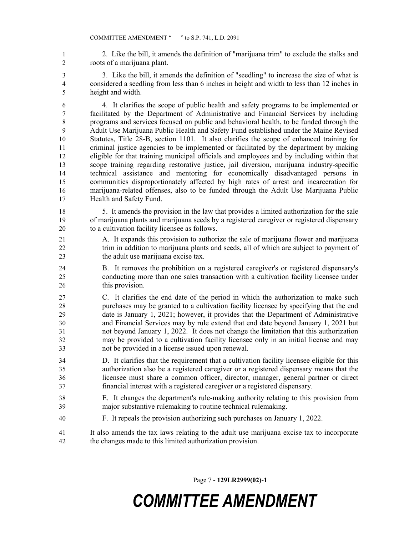2. Like the bill, it amends the definition of "marijuana trim" to exclude the stalks and roots of a marijuana plant.

 3. Like the bill, it amends the definition of "seedling" to increase the size of what is considered a seedling from less than 6 inches in height and width to less than 12 inches in height and width.

 4. It clarifies the scope of public health and safety programs to be implemented or facilitated by the Department of Administrative and Financial Services by including programs and services focused on public and behavioral health, to be funded through the Adult Use Marijuana Public Health and Safety Fund established under the Maine Revised Statutes, Title 28-B, section 1101. It also clarifies the scope of enhanced training for criminal justice agencies to be implemented or facilitated by the department by making eligible for that training municipal officials and employees and by including within that scope training regarding restorative justice, jail diversion, marijuana industry-specific technical assistance and mentoring for economically disadvantaged persons in communities disproportionately affected by high rates of arrest and incarceration for marijuana-related offenses, also to be funded through the Adult Use Marijuana Public Health and Safety Fund.

 5. It amends the provision in the law that provides a limited authorization for the sale of marijuana plants and marijuana seeds by a registered caregiver or registered dispensary to a cultivation facility licensee as follows.

- A. It expands this provision to authorize the sale of marijuana flower and marijuana 22 trim in addition to marijuana plants and seeds, all of which are subject to payment of 23 the adult use marijuana excise tax.
- B. It removes the prohibition on a registered caregiver's or registered dispensary's conducting more than one sales transaction with a cultivation facility licensee under this provision.
- C. It clarifies the end date of the period in which the authorization to make such purchases may be granted to a cultivation facility licensee by specifying that the end date is January 1, 2021; however, it provides that the Department of Administrative and Financial Services may by rule extend that end date beyond January 1, 2021 but not beyond January 1, 2022. It does not change the limitation that this authorization may be provided to a cultivation facility licensee only in an initial license and may not be provided in a license issued upon renewal.
- D. It clarifies that the requirement that a cultivation facility licensee eligible for this authorization also be a registered caregiver or a registered dispensary means that the licensee must share a common officer, director, manager, general partner or direct financial interest with a registered caregiver or a registered dispensary.
- E. It changes the department's rule-making authority relating to this provision from major substantive rulemaking to routine technical rulemaking.
- F. It repeals the provision authorizing such purchases on January 1, 2022.
- It also amends the tax laws relating to the adult use marijuana excise tax to incorporate the changes made to this limited authorization provision.

Page 7 **- 129LR2999(02)-1**